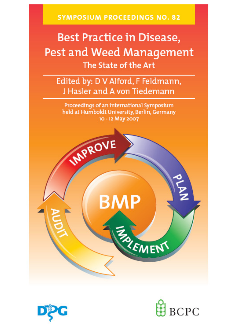**SYMPOSIUM PROCEEDINGS NO. 82** 

# **Best Practice in Disease,** Pest and Weed Management The State of the Art

Edited by: D V Alford, F Feldmann, J Hasler and A von Tiedemann

Proceedings of an international Symposium held at Humboldt University, Berlin, Germany 10 - 12 May 2007





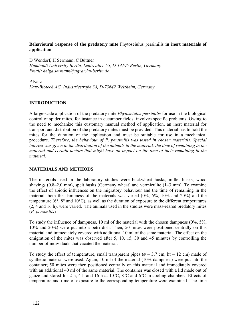# **Behavioural response of the predatory mite** Phytoseiulus persimilis **in inert materials of application**

D Wendorf, H Sermann, C Büttner *Humboldt University Berlin, Lentzeallee 55, D-14195 Berlin, Germany Email: helga.sermann@agrar.hu-berlin.de* 

## P Katz

*Katz-Biotech AG, Industriestraße 38, D-73642 Welzheim, Germany*

# **INTRODUCTION**

A large-scale application of the predatory mite *Phytoseiulus persimilis* for use in the biological control of spider mites, for instance in cucumber fields, involves specific problems. Owing to the need to mechanize this customary manual method of application, an inert material for transport and distribution of the predatory mites must be provided. This material has to hold the mites for the duration of the application and must be suitable for use in a mechanical procedure. *Therefore, the behaviour of P. persimilis was tested in chosen materials. Special interest was given to the distribution of the animals in the material, the time of remaining in the material and certain factors that might have an impact on the time of their remaining in the material.* 

# **MATERIALS AND METHODS**

The materials used in the laboratory studies were buckwheat husks, millet husks, wood shavings (0.8–2.0 mm), spelt husks (Germany wheat) and vermiculite (1–3 mm). To examine the effect of abiotic influences on the migratory behaviour and the time of remaining in the material, both the dampness of the materials was varied (0%, 5%, 10% and 20%) and the temperature (6°, 8° and 10°C), as well as the duration of exposure to the different temperatures (2, 4 and 16 h), were varied. The animals used in the studies were mass-reared predatory mites (*P. persimilis*)*.* 

To study the influence of dampness, 10 ml of the material with the chosen dampness (0%, 5%, 10% and 20%) were put into a petri dish. Then, 50 mites were positioned centrally on this material and immediately covered with additional 10 ml of the same material. The effect on the emigration of the mites was observed after 5, 10, 15, 30 and 45 minutes by controlling the number of individuals that vacated the material.

To study the effect of temperature, small transparent pipes ( $\alpha$  = 3.7 cm, ht = 12 cm) made of synthetic material were used. Again, 10 ml of the material (10% dampness) were put into the container; 50 mites were then positioned centrally on this material and immediately covered with an additional 40 ml of the same material. The container was closed with a lid made out of gauze and stored for 2 h, 4 h and 16 h at 10°C, 8°C and 6°C in cooling chamber. Effects of temperature and time of exposure to the corresponding temperature were examined. The time